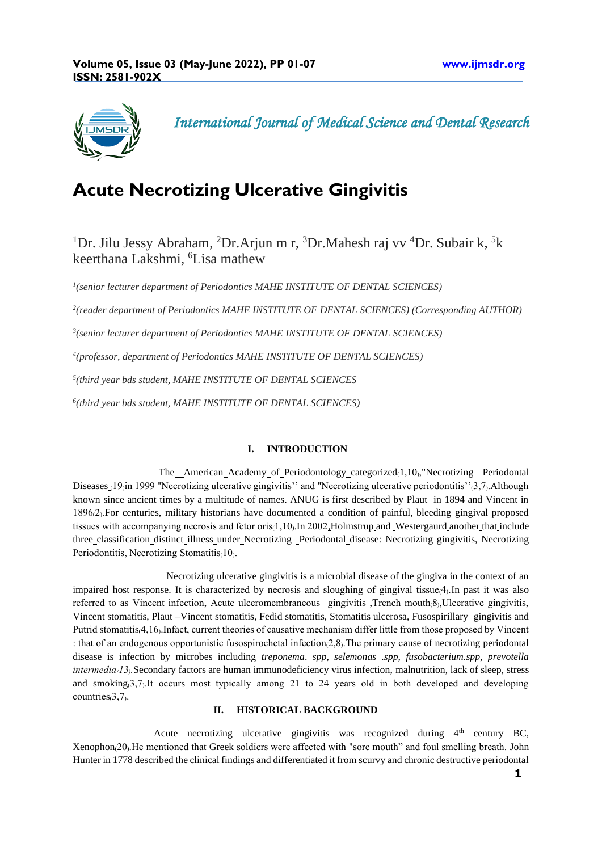

 *International Journal of Medical Science and Dental Research* 

# **Acute Necrotizing Ulcerative Gingivitis**

<sup>1</sup>Dr. Jilu Jessy Abraham, <sup>2</sup>Dr.Arjun m r, <sup>3</sup>Dr.Mahesh raj vv <sup>4</sup>Dr. Subair k, <sup>5</sup>k keerthana Lakshmi, <sup>6</sup>Lisa mathew

*1 (senior lecturer department of Periodontics MAHE INSTITUTE OF DENTAL SCIENCES)*

*2 (reader department of Periodontics MAHE INSTITUTE OF DENTAL SCIENCES) (Corresponding AUTHOR)*

*3 (senior lecturer department of Periodontics MAHE INSTITUTE OF DENTAL SCIENCES)*

*4 (professor, department of Periodontics MAHE INSTITUTE OF DENTAL SCIENCES)*

*5 (third year bds student, MAHE INSTITUTE OF DENTAL SCIENCES*

*6 (third year bds student, MAHE INSTITUTE OF DENTAL SCIENCES)*

# **I. INTRODUCTION**

The American Academy of Periodontology categorized $(1,10)$ , Necrotizing Periodontal Diseases (19, in 1999 "Necrotizing ulcerative gingivitis'' and "Necrotizing ulcerative periodontitis''(3,7). Although known since ancient times by a multitude of names. ANUG is first described by Plaut in 1894 and Vincent in 1896₍2₎.For centuries, military historians have documented a condition of painful, bleeding gingival proposed tissues with accompanying necrosis and fetor oris $(1,10)$ . In 2002, Holmstrup and Westergaurd another that include three classification distinct illness under Necrotizing Periodontal disease: Necrotizing gingivitis, Necrotizing Periodontitis, Necrotizing Stomatitis $(10)$ .

 Necrotizing ulcerative gingivitis is a microbial disease of the gingiva in the context of an impaired host response. It is characterized by necrosis and sloughing of gingival tissue $(4)$ . In past it was also referred to as Vincent infection, Acute ulceromembraneous gingivitis, Trench mouth(8), Ulcerative gingivitis, Vincent stomatitis, Plaut –Vincent stomatitis, Fedid stomatitis, Stomatitis ulcerosa, Fusospirillary gingivitis and Putrid stomatitis $(4,16)$ . Infact, current theories of causative mechanism differ little from those proposed by Vincent : that of an endogenous opportunistic fusospirochetal infection(2,8). The primary cause of necrotizing periodontal disease is infection by microbes including *treponema*. *spp, selemonas .spp, fusobacterium.spp, prevotella intermedia* $13$ . Secondary factors are human immunodeficiency virus infection, malnutrition, lack of sleep, stress and smoking(3,7). It occurs most typically among 21 to 24 years old in both developed and developing countries $(3,7)$ .

# **II. HISTORICAL BACKGROUND**

Acute necrotizing ulcerative gingivitis was recognized during  $4<sup>th</sup>$  century BC, Xenophon(20). He mentioned that Greek soldiers were affected with "sore mouth" and foul smelling breath. John Hunter in 1778 described the clinical findings and differentiated it from scurvy and chronic destructive periodontal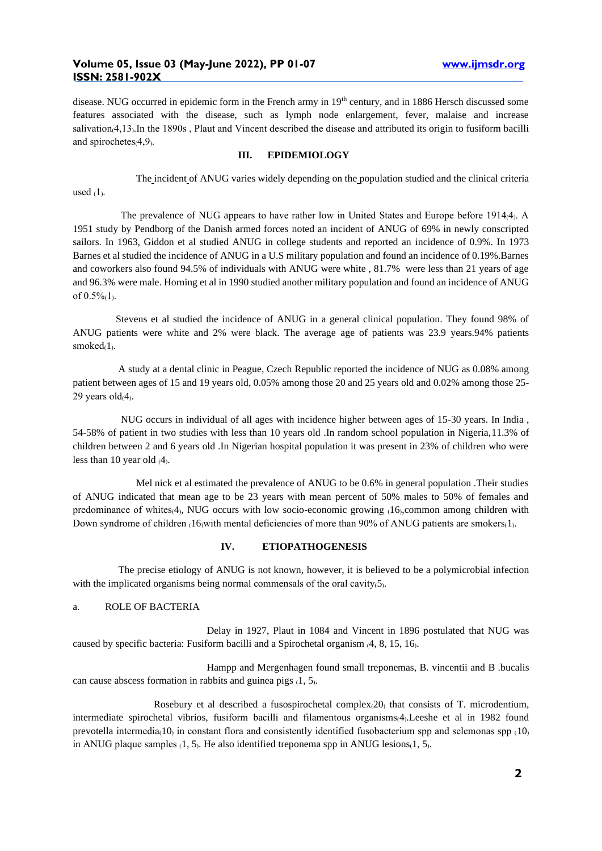## **Volume 05, Issue 03 (May-June 2022), PP 01-07 [www.ijmsdr.org](http://www.ijmsdr.org/)  ISSN: 2581-902X**

disease. NUG occurred in epidemic form in the French army in 19<sup>th</sup> century, and in 1886 Hersch discussed some features associated with the disease, such as lymph node enlargement, fever, malaise and increase salivation<sub>(4,13</sub>). In the 1890s, Plaut and Vincent described the disease and attributed its origin to fusiform bacilli and spirochetes $(4,9)$ .

#### **III. EPIDEMIOLOGY**

 The incident of ANUG varies widely depending on the population studied and the clinical criteria used  $(1)$ .

The prevalence of NUG appears to have rather low in United States and Europe before 1914 $4$ . A 1951 study by Pendborg of the Danish armed forces noted an incident of ANUG of 69% in newly conscripted sailors. In 1963, Giddon et al studied ANUG in college students and reported an incidence of 0.9%. In 1973 Barnes et al studied the incidence of ANUG in a U.S military population and found an incidence of 0.19%.Barnes and coworkers also found 94.5% of individuals with ANUG were white , 81.7% were less than 21 years of age and 96.3% were male. Horning et al in 1990 studied another military population and found an incidence of ANUG of  $0.5\%$ <sub>(1)</sub>.

 Stevens et al studied the incidence of ANUG in a general clinical population. They found 98% of ANUG patients were white and 2% were black. The average age of patients was 23.9 years.94% patients smoke $d_1$ .

 A study at a dental clinic in Peague, Czech Republic reported the incidence of NUG as 0.08% among patient between ages of 15 and 19 years old, 0.05% among those 20 and 25 years old and 0.02% among those 25- 29 years old $(4)$ .

 NUG occurs in individual of all ages with incidence higher between ages of 15-30 years. In India , 54-58% of patient in two studies with less than 10 years old .In random school population in Nigeria,11.3% of children between 2 and 6 years old .In Nigerian hospital population it was present in 23% of children who were less than 10 year old  $(4)$ .

 Mel nick et al estimated the prevalence of ANUG to be 0.6% in general population .Their studies of ANUG indicated that mean age to be 23 years with mean percent of 50% males to 50% of females and predominance of whites $(4)$ , NUG occurs with low socio-economic growing  $(16)$ ,common among children with Down syndrome of children (16µwith mental deficiencies of more than 90% of ANUG patients are smokers(1).

#### **IV. ETIOPATHOGENESIS**

 The precise etiology of ANUG is not known, however, it is believed to be a polymicrobial infection with the implicated organisms being normal commensals of the oral cavity $(5)$ .

## a. ROLE OF BACTERIA

 Delay in 1927, Plaut in 1084 and Vincent in 1896 postulated that NUG was caused by specific bacteria: Fusiform bacilli and a Spirochetal organism  $(4, 8, 15, 16)$ .

 Hampp and Mergenhagen found small treponemas, B. vincentii and B .bucalis can cause abscess formation in rabbits and guinea pigs  $(1, 5)$ .

Rosebury et al described a fusospirochetal complex $(20)$  that consists of T. microdentium, intermediate spirochetal vibrios, fusiform bacilli and filamentous organisms<sub>(4</sub>). Leeshe et al in 1982 found prevotella intermedia $(10)$  in constant flora and consistently identified fusobacterium spp and selemonas spp  $(10)$ in ANUG plaque samples  $(1, 5)$ . He also identified treponema spp in ANUG lesions $(1, 5)$ .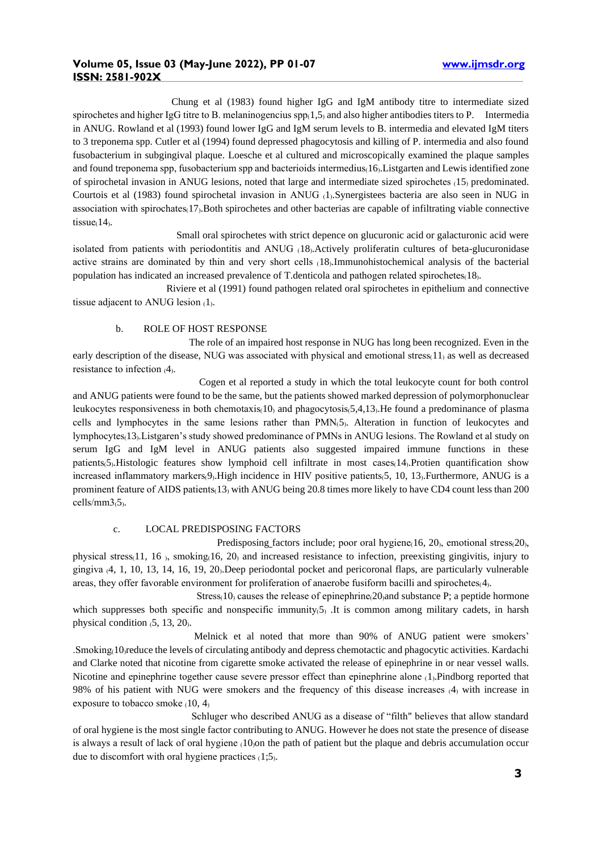Chung et al (1983) found higher IgG and IgM antibody titre to intermediate sized spirochetes and higher IgG titre to B. melaninogencius  $\text{sp}_1(1,5)$  and also higher antibodies titers to P. Intermedia in ANUG. Rowland et al (1993) found lower IgG and IgM serum levels to B. intermedia and elevated IgM titers to 3 treponema spp. Cutler et al (1994) found depressed phagocytosis and killing of P. intermedia and also found fusobacterium in subgingival plaque. Loesche et al cultured and microscopically examined the plaque samples and found treponema spp, fusobacterium spp and bacterioids intermedius $(16)$ . Listgarten and Lewis identified zone of spirochetal invasion in ANUG lesions, noted that large and intermediate sized spirochetes  $(15)$  predominated. Courtois et al (1983) found spirochetal invasion in ANUG  $_1$ . Synergistees bacteria are also seen in NUG in association with spirochates $(17)$ . Both spirochetes and other bacterias are capable of infiltrating viable connective tissue $(14)$ .

 Small oral spirochetes with strict depence on glucuronic acid or galacturonic acid were isolated from patients with periodontitis and ANUG (18). Actively proliferatin cultures of beta-glucuronidase active strains are dominated by thin and very short cells  $(18)$ .Immunohistochemical analysis of the bacterial population has indicated an increased prevalence of T.denticola and pathogen related spirochetes $(18)$ .

 Riviere et al (1991) found pathogen related oral spirochetes in epithelium and connective tissue adjacent to ANUG lesion  $(1)$ .

## b. ROLE OF HOST RESPONSE

 The role of an impaired host response in NUG has long been recognized. Even in the early description of the disease, NUG was associated with physical and emotional stress $(1)$  as well as decreased resistance to infection  $(4)$ .

 Cogen et al reported a study in which the total leukocyte count for both control and ANUG patients were found to be the same, but the patients showed marked depression of polymorphonuclear leukocytes responsiveness in both chemotaxis $(10)$  and phagocytosis $(5,4,13)$ . He found a predominance of plasma cells and lymphocytes in the same lesions rather than  $PMN<sub>5</sub>$ . Alteration in function of leukocytes and lymphocytes(13). Listgaren's study showed predominance of PMNs in ANUG lesions. The Rowland et al study on serum IgG and IgM level in ANUG patients also suggested impaired immune functions in these patients<sub>(5)</sub>.Histologic features show lymphoid cell infiltrate in most cases<sub>(14)</sub>.Protien quantification show increased inflammatory markers $(9)$ . High incidence in HIV positive patients $(5, 10, 13)$ . Furthermore, ANUG is a prominent feature of AIDS patients(13) with ANUG being 20.8 times more likely to have CD4 count less than 200 cells/mm3(5).

#### c. LOCAL PREDISPOSING FACTORS

Predisposing factors include; poor oral hygiene $(16, 20)$ , emotional stress $(20)$ , physical stress $(11, 16)$ , smoking $(16, 20)$  and increased resistance to infection, preexisting gingivitis, injury to gingiva  $(4, 1, 10, 13, 14, 16, 19, 20)$ . Deep periodontal pocket and pericoronal flaps, are particularly vulnerable areas, they offer favorable environment for proliferation of anaerobe fusiform bacilli and spirochetes(4).

Stress $(10)$  causes the release of epinephrine $(20)$ and substance P; a peptide hormone which suppresses both specific and nonspecific immunity $(5)$ . It is common among military cadets, in harsh physical condition  $(5, 13, 20)$ .

 Melnick et al noted that more than 90% of ANUG patient were smokers' .Smoking₍10₎reduce the levels of circulating antibody and depress chemotactic and phagocytic activities. Kardachi and Clarke noted that nicotine from cigarette smoke activated the release of epinephrine in or near vessel walls. Nicotine and epinephrine together cause severe pressor effect than epinephrine alone (1). Pindborg reported that 98% of his patient with NUG were smokers and the frequency of this disease increases (4) with increase in exposure to tobacco smoke  $(10, 4)$ 

 Schluger who described ANUG as a disease of "filth" believes that allow standard of oral hygiene is the most single factor contributing to ANUG. However he does not state the presence of disease is always a result of lack of oral hygiene  $(10)$ on the path of patient but the plaque and debris accumulation occur due to discomfort with oral hygiene practices  $(1,5)$ .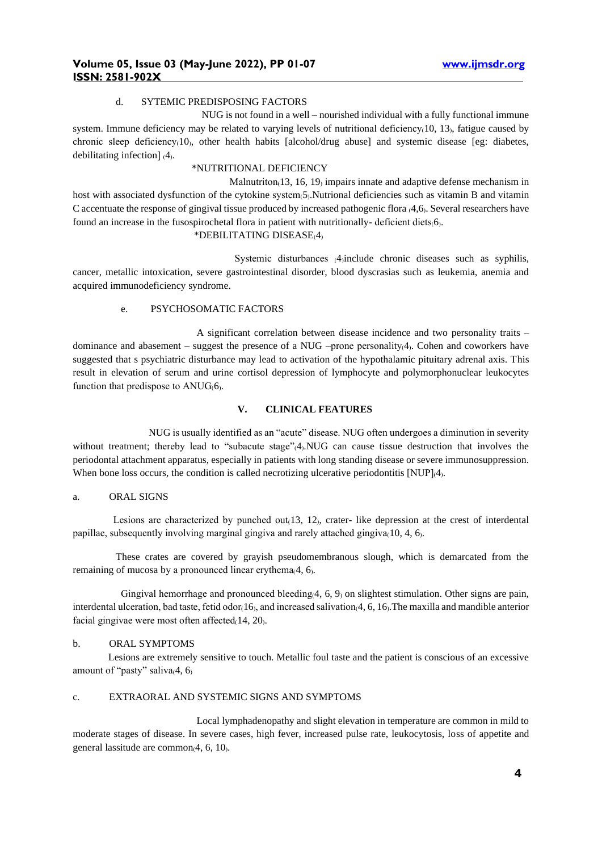#### d. SYTEMIC PREDISPOSING FACTORS

 NUG is not found in a well – nourished individual with a fully functional immune system. Immune deficiency may be related to varying levels of nutritional deficiency $(10, 13)$ , fatigue caused by chronic sleep deficiency $(10)$ , other health habits [alcohol/drug abuse] and systemic disease [eg: diabetes, debilitating infection]  $(4)$ .

## \*NUTRITIONAL DEFICIENCY

Malnutriton $(13, 16, 19)$  impairs innate and adaptive defense mechanism in host with associated dysfunction of the cytokine system $(5)$ . Nutrional deficiencies such as vitamin B and vitamin C accentuate the response of gingival tissue produced by increased pathogenic flora  $(4,6)$ . Several researchers have found an increase in the fusospirochetal flora in patient with nutritionally- deficient diets(6).

#### \*DEBILITATING DISEASE(4)

Systemic disturbances (4)include chronic diseases such as syphilis, cancer, metallic intoxication, severe gastrointestinal disorder, blood dyscrasias such as leukemia, anemia and acquired immunodeficiency syndrome.

## e. PSYCHOSOMATIC FACTORS

 A significant correlation between disease incidence and two personality traits – dominance and abasement – suggest the presence of a  $NUG$  –prone personality $(4)$ . Cohen and coworkers have suggested that s psychiatric disturbance may lead to activation of the hypothalamic pituitary adrenal axis. This result in elevation of serum and urine cortisol depression of lymphocyte and polymorphonuclear leukocytes function that predispose to  $\text{ANUG}(6)$ .

## **V. CLINICAL FEATURES**

 NUG is usually identified as an "acute" disease. NUG often undergoes a diminution in severity without treatment; thereby lead to "subacute stage"(4).NUG can cause tissue destruction that involves the periodontal attachment apparatus, especially in patients with long standing disease or severe immunosuppression. When bone loss occurs, the condition is called necrotizing ulcerative periodontitis  $[NUP]_{4}$ .

### a. ORAL SIGNS

Lesions are characterized by punched out $(13, 12)$ , crater-like depression at the crest of interdental papillae, subsequently involving marginal gingiva and rarely attached gingiva $(10, 4, 6)$ .

 These crates are covered by grayish pseudomembranous slough, which is demarcated from the remaining of mucosa by a pronounced linear erythema $(4, 6)$ .

Gingival hemorrhage and pronounced bleeding $(4, 6, 9)$  on slightest stimulation. Other signs are pain, interdental ulceration, bad taste, fetid odor $(16)$ , and increased salivation $(4, 6, 16)$ . The maxilla and mandible anterior facial gingivae were most often affected $(14, 20)$ .

#### b. ORAL SYMPTOMS

 Lesions are extremely sensitive to touch. Metallic foul taste and the patient is conscious of an excessive amount of "pasty" saliva $(4, 6)$ 

#### c. EXTRAORAL AND SYSTEMIC SIGNS AND SYMPTOMS

 Local lymphadenopathy and slight elevation in temperature are common in mild to moderate stages of disease. In severe cases, high fever, increased pulse rate, leukocytosis, loss of appetite and general lassitude are common $(4, 6, 10)$ .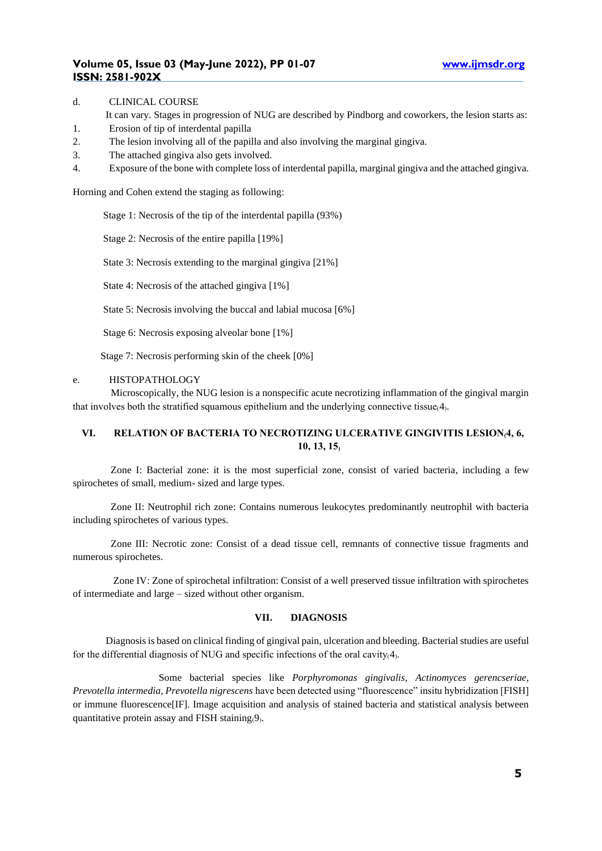#### d. CLINICAL COURSE

- It can vary. Stages in progression of NUG are described by Pindborg and coworkers, the lesion starts as:
- 1. Erosion of tip of interdental papilla
- 2. The lesion involving all of the papilla and also involving the marginal gingiva.
- 3. The attached gingiva also gets involved.
- 4. Exposure of the bone with complete loss of interdental papilla, marginal gingiva and the attached gingiva.

Horning and Cohen extend the staging as following:

Stage 1: Necrosis of the tip of the interdental papilla (93%)

Stage 2: Necrosis of the entire papilla [19%]

State 3: Necrosis extending to the marginal gingiva [21%]

State 4: Necrosis of the attached gingiva [1%]

State 5: Necrosis involving the buccal and labial mucosa [6%]

Stage 6: Necrosis exposing alveolar bone [1%]

Stage 7: Necrosis performing skin of the cheek [0%]

#### e. HISTOPATHOLOGY

 Microscopically, the NUG lesion is a nonspecific acute necrotizing inflammation of the gingival margin that involves both the stratified squamous epithelium and the underlying connective tissue $(4)$ .

# VI. RELATION OF BACTERIA TO NECROTIZING ULCERATIVE GINGIVITIS LESION<sub>(4, 6</sub>, **10, 13, 15₎**

 Zone I: Bacterial zone: it is the most superficial zone, consist of varied bacteria, including a few spirochetes of small, medium- sized and large types.

 Zone II: Neutrophil rich zone: Contains numerous leukocytes predominantly neutrophil with bacteria including spirochetes of various types.

 Zone III: Necrotic zone: Consist of a dead tissue cell, remnants of connective tissue fragments and numerous spirochetes.

 Zone IV: Zone of spirochetal infiltration: Consist of a well preserved tissue infiltration with spirochetes of intermediate and large – sized without other organism.

### **VII. DIAGNOSIS**

 Diagnosisis based on clinical finding of gingival pain, ulceration and bleeding. Bacterial studies are useful for the differential diagnosis of NUG and specific infections of the oral cavity $(4)$ .

 Some bacterial species like *Porphyromonas gingivalis*, *Actinomyces gerencseriae, Prevotella intermedia, Prevotella nigrescens* have been detected using "fluorescence" insitu hybridization [FISH] or immune fluorescence[IF]. Image acquisition and analysis of stained bacteria and statistical analysis between quantitative protein assay and FISH staining $(9)$ .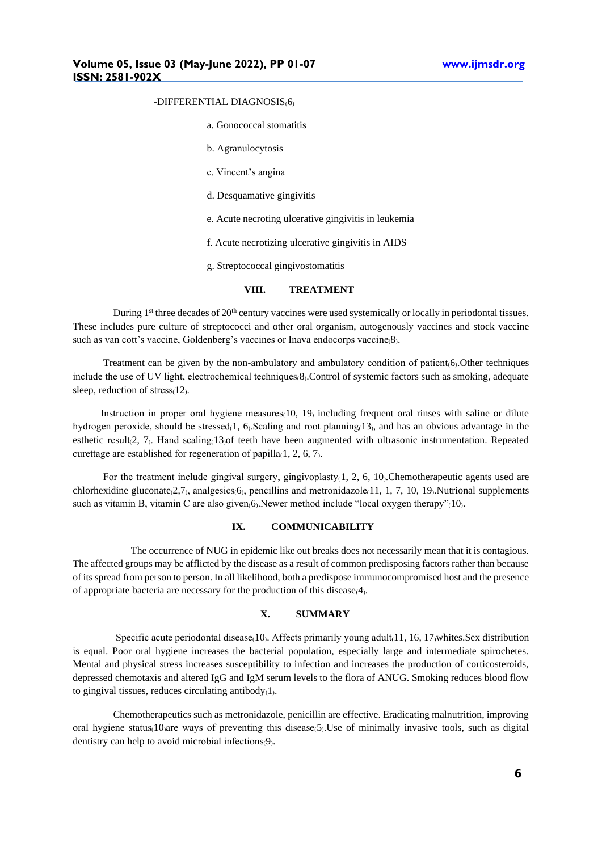#### -DIFFERENTIAL DIAGNOSIS(6)

- a. Gonococcal stomatitis
- b. Agranulocytosis
- c. Vincent's angina
- d. Desquamative gingivitis
- e. Acute necroting ulcerative gingivitis in leukemia
- f. Acute necrotizing ulcerative gingivitis in AIDS
- g. Streptococcal gingivostomatitis

#### **VIII. TREATMENT**

During  $1<sup>st</sup>$  three decades of  $20<sup>th</sup>$  century vaccines were used systemically or locally in periodontal tissues. These includes pure culture of streptococci and other oral organism, autogenously vaccines and stock vaccine such as van cott's vaccine, Goldenberg's vaccines or Inava endocorps vaccine(8).

Treatment can be given by the non-ambulatory and ambulatory condition of patient $(6)$ . Other techniques include the use of UV light, electrochemical techniques  $\delta$ . Control of systemic factors such as smoking, adequate sleep, reduction of stress $(12)$ .

Instruction in proper oral hygiene measures $(10, 19)$  including frequent oral rinses with saline or dilute hydrogen peroxide, should be stressed $(1, 6)$ . Scaling and root planning $(13)$ , and has an obvious advantage in the esthetic result $(2, 7)$ . Hand scaling $(13)$ of teeth have been augmented with ultrasonic instrumentation. Repeated curettage are established for regeneration of papilla $(1, 2, 6, 7)$ .

For the treatment include gingival surgery, gingivoplasty(1, 2, 6, 10). Chemotherapeutic agents used are chlorhexidine gluconate $(2,7)$ , analgesics $(6)$ , pencillins and metronidazole $(11, 1, 7, 10, 19)$ . Nutrional supplements such as vitamin B, vitamin C are also given $(6)$ . Newer method include "local oxygen therapy" $(10)$ .

#### **IX. COMMUNICABILITY**

 The occurrence of NUG in epidemic like out breaks does not necessarily mean that it is contagious. The affected groups may be afflicted by the disease as a result of common predisposing factors rather than because of its spread from person to person. In all likelihood, both a predispose immunocompromised host and the presence of appropriate bacteria are necessary for the production of this disease $(4)$ .

## **X. SUMMARY**

Specific acute periodontal disease $(10)$ . Affects primarily young adult $(11, 16, 17)$ whites.Sex distribution is equal. Poor oral hygiene increases the bacterial population, especially large and intermediate spirochetes. Mental and physical stress increases susceptibility to infection and increases the production of corticosteroids, depressed chemotaxis and altered IgG and IgM serum levels to the flora of ANUG. Smoking reduces blood flow to gingival tissues, reduces circulating antibody $(1)$ .

 Chemotherapeutics such as metronidazole, penicillin are effective. Eradicating malnutrition, improving oral hygiene status $(10)$ are ways of preventing this disease $(5)$ . Use of minimally invasive tools, such as digital dentistry can help to avoid microbial infections(9).